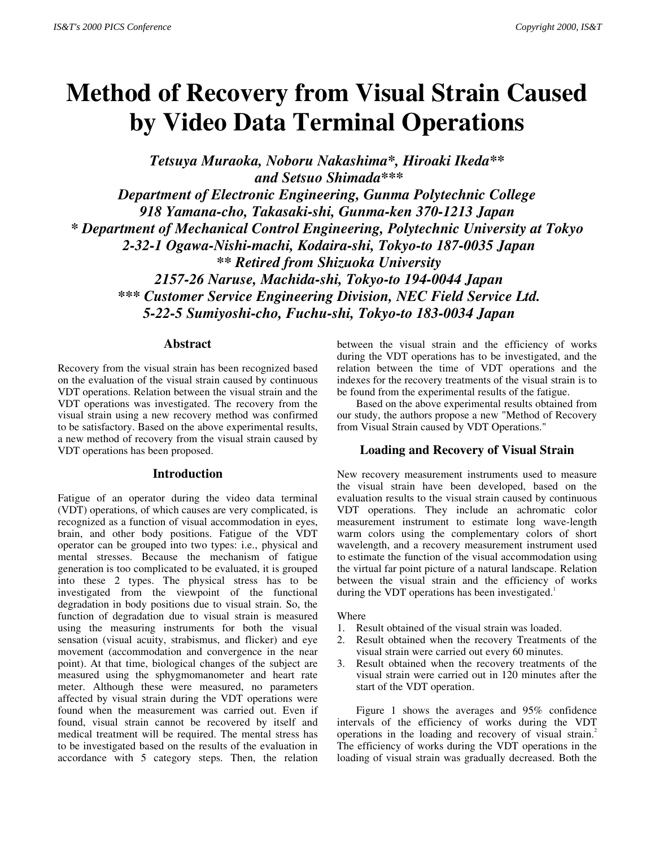# **Method of Recovery from Visual Strain Caused by Video Data Terminal Operations**

*Tetsuya Muraoka, Noboru Nakashima\*, Hiroaki Ikeda\*\* and Setsuo Shimada\*\*\**

*Department of Electronic Engineering, Gunma Polytechnic College 918 Yamana-cho, Takasaki-shi, Gunma-ken 370-1213 Japan \* Department of Mechanical Control Engineering, Polytechnic University at Tokyo 2-32-1 Ogawa-Nishi-machi, Kodaira-shi, Tokyo-to 187-0035 Japan \*\* Retired from Shizuoka University 2157-26 Naruse, Machida-shi, Tokyo-to 194-0044 Japan*

 *\*\*\* Customer Service Engineering Division, NEC Field Service Ltd. 5-22-5 Sumiyoshi-cho, Fuchu-shi, Tokyo-to 183-0034 Japan*

# **Abstract**

Recovery from the visual strain has been recognized based on the evaluation of the visual strain caused by continuous VDT operations. Relation between the visual strain and the VDT operations was investigated. The recovery from the visual strain using a new recovery method was confirmed to be satisfactory. Based on the above experimental results, a new method of recovery from the visual strain caused by VDT operations has been proposed.

## **Introduction**

Fatigue of an operator during the video data terminal (VDT) operations, of which causes are very complicated, is recognized as a function of visual accommodation in eyes, brain, and other body positions. Fatigue of the VDT operator can be grouped into two types: i.e., physical and mental stresses. Because the mechanism of fatigue generation is too complicated to be evaluated, it is grouped into these 2 types. The physical stress has to be investigated from the viewpoint of the functional degradation in body positions due to visual strain. So, the function of degradation due to visual strain is measured using the measuring instruments for both the visual sensation (visual acuity, strabismus, and flicker) and eye movement (accommodation and convergence in the near point). At that time, biological changes of the subject are measured using the sphygmomanometer and heart rate meter. Although these were measured, no parameters affected by visual strain during the VDT operations were found when the measurement was carried out. Even if found, visual strain cannot be recovered by itself and medical treatment will be required. The mental stress has to be investigated based on the results of the evaluation in accordance with 5 category steps. Then, the relation

between the visual strain and the efficiency of works during the VDT operations has to be investigated, and the relation between the time of VDT operations and the indexes for the recovery treatments of the visual strain is to be found from the experimental results of the fatigue.

Based on the above experimental results obtained from our study, the authors propose a new "Method of Recovery from Visual Strain caused by VDT Operations."

## **Loading and Recovery of Visual Strain**

New recovery measurement instruments used to measure the visual strain have been developed, based on the evaluation results to the visual strain caused by continuous VDT operations. They include an achromatic color measurement instrument to estimate long wave-length warm colors using the complementary colors of short wavelength, and a recovery measurement instrument used to estimate the function of the visual accommodation using the virtual far point picture of a natural landscape. Relation between the visual strain and the efficiency of works during the VDT operations has been investigated.<sup>1</sup>

#### Where

- 1. Result obtained of the visual strain was loaded.
- 2. Result obtained when the recovery Treatments of the visual strain were carried out every 60 minutes.
- 3. Result obtained when the recovery treatments of the visual strain were carried out in 120 minutes after the start of the VDT operation.

Figure 1 shows the averages and 95% confidence intervals of the efficiency of works during the VDT operations in the loading and recovery of visual strain.<sup>2</sup> The efficiency of works during the VDT operations in the loading of visual strain was gradually decreased. Both the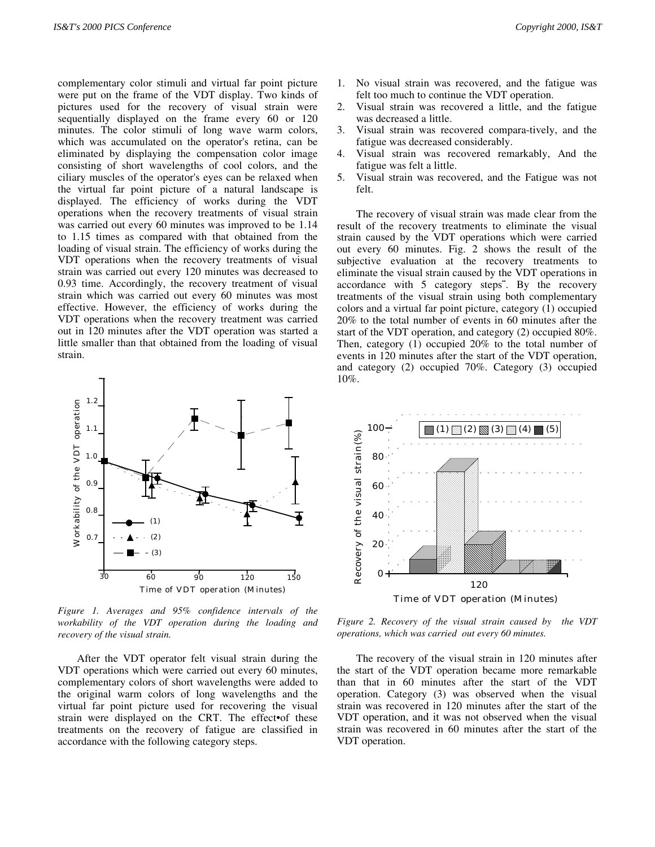complementary color stimuli and virtual far point picture were put on the frame of the VDT display. Two kinds of pictures used for the recovery of visual strain were sequentially displayed on the frame every 60 or 120 minutes. The color stimuli of long wave warm colors, which was accumulated on the operator's retina, can be eliminated by displaying the compensation color image consisting of short wavelengths of cool colors, and the ciliary muscles of the operator's eyes can be relaxed when the virtual far point picture of a natural landscape is displayed. The efficiency of works during the VDT operations when the recovery treatments of visual strain was carried out every 60 minutes was improved to be 1.14 to 1.15 times as compared with that obtained from the loading of visual strain. The efficiency of works during the VDT operations when the recovery treatments of visual strain was carried out every 120 minutes was decreased to 0.93 time. Accordingly, the recovery treatment of visual strain which was carried out every 60 minutes was most effective. However, the efficiency of works during the VDT operations when the recovery treatment was carried out in 120 minutes after the VDT operation was started a little smaller than that obtained from the loading of visual strain.



*Figure 1. Averages and 95% confidence intervals of the workability of the VDT operation during the loading and recovery of the visual strain.*

After the VDT operator felt visual strain during the VDT operations which were carried out every 60 minutes, complementary colors of short wavelengths were added to the original warm colors of long wavelengths and the virtual far point picture used for recovering the visual strain were displayed on the CRT. The effect•of these treatments on the recovery of fatigue are classified in accordance with the following category steps.

- 1. No visual strain was recovered, and the fatigue was felt too much to continue the VDT operation.
- 2. Visual strain was recovered a little, and the fatigue was decreased a little.
- 3. Visual strain was recovered compara-tively, and the fatigue was decreased considerably.
- 4. Visual strain was recovered remarkably, And the fatigue was felt a little.
- 5. Visual strain was recovered, and the Fatigue was not felt.

The recovery of visual strain was made clear from the result of the recovery treatments to eliminate the visual strain caused by the VDT operations which were carried out every 60 minutes. Fig. 2 shows the result of the subjective evaluation at the recovery treatments to eliminate the visual strain caused by the VDT operations in accordance with  $5$  category steps". By the recovery treatments of the visual strain using both complementary colors and a virtual far point picture, category (1) occupied 20% to the total number of events in 60 minutes after the start of the VDT operation, and category (2) occupied 80%. Then, category (1) occupied 20% to the total number of events in 120 minutes after the start of the VDT operation, and category (2) occupied 70%. Category (3) occupied 10%.



*Figure 2. Recovery of the visual strain caused by the VDT operations, which was carried out every 60 minutes.*

The recovery of the visual strain in 120 minutes after the start of the VDT operation became more remarkable than that in 60 minutes after the start of the VDT operation. Category (3) was observed when the visual strain was recovered in 120 minutes after the start of the VDT operation, and it was not observed when the visual strain was recovered in 60 minutes after the start of the VDT operation.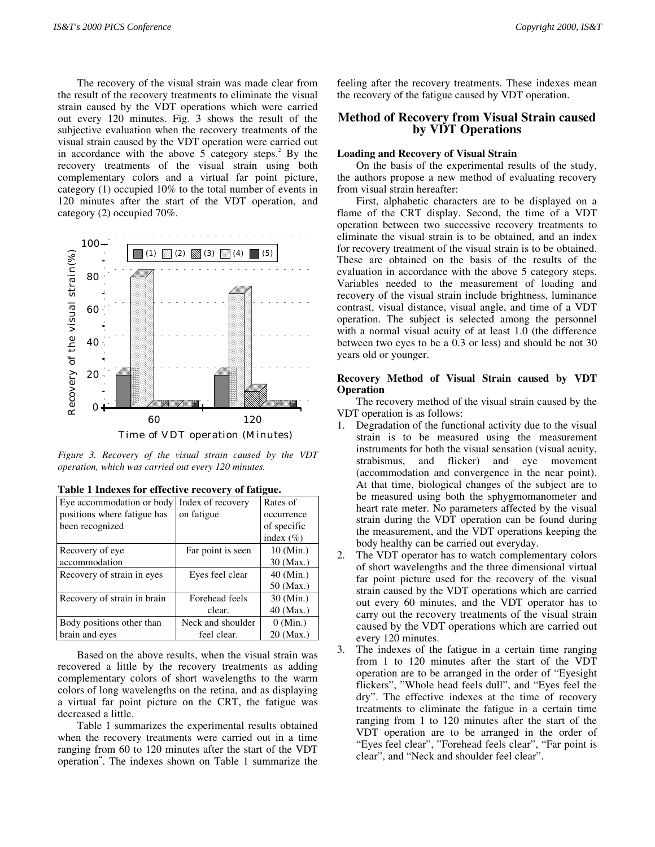The recovery of the visual strain was made clear from the result of the recovery treatments to eliminate the visual strain caused by the VDT operations which were carried out every 120 minutes. Fig. 3 shows the result of the subjective evaluation when the recovery treatments of the visual strain caused by the VDT operation were carried out in accordance with the above  $5$  category steps.<sup>2</sup> By the recovery treatments of the visual strain using both complementary colors and a virtual far point picture, category (1) occupied 10% to the total number of events in 120 minutes after the start of the VDT operation, and category (2) occupied 70%.



*Figure 3. Recovery of the visual strain caused by the VDT operation, which was carried out every 120 minutes.*

| Eye accommodation or body   | Index of recovery | Rates of      |  |
|-----------------------------|-------------------|---------------|--|
| positions where fatigue has | on fatigue        | occurrence    |  |
| been recognized             |                   | of specific   |  |
|                             |                   | index $(\% )$ |  |
| Recovery of eye             | Far point is seen | 10 (Min.)     |  |
| accommodation               |                   | 30 (Max.)     |  |
| Recovery of strain in eyes  | Eyes feel clear   | 40 (Min.)     |  |
|                             |                   | 50 (Max.)     |  |
| Recovery of strain in brain | Forehead feels    | 30 (Min.)     |  |
|                             | clear.            | 40 (Max.)     |  |
| Body positions other than   | Neck and shoulder | $0$ (Min.)    |  |
| brain and eves              | feel clear.       | 20 (Max.)     |  |

| Table 1 Indexes for effective recovery of fatigue. |  |  |  |  |  |  |  |
|----------------------------------------------------|--|--|--|--|--|--|--|
|----------------------------------------------------|--|--|--|--|--|--|--|

Based on the above results, when the visual strain was recovered a little by the recovery treatments as adding complementary colors of short wavelengths to the warm colors of long wavelengths on the retina, and as displaying a virtual far point picture on the CRT, the fatigue was decreased a little.

Table 1 summarizes the experimental results obtained when the recovery treatments were carried out in a time ranging from 60 to 120 minutes after the start of the VDT operation<sup>"</sup>. The indexes shown on Table 1 summarize the feeling after the recovery treatments. These indexes mean the recovery of the fatigue caused by VDT operation.

# **Method of Recovery from Visual Strain caused by VDT Operations**

#### **Loading and Recovery of Visual Strain**

On the basis of the experimental results of the study, the authors propose a new method of evaluating recovery from visual strain hereafter:

First, alphabetic characters are to be displayed on a flame of the CRT display. Second, the time of a VDT operation between two successive recovery treatments to eliminate the visual strain is to be obtained, and an index for recovery treatment of the visual strain is to be obtained. These are obtained on the basis of the results of the evaluation in accordance with the above 5 category steps. Variables needed to the measurement of loading and recovery of the visual strain include brightness, luminance contrast, visual distance, visual angle, and time of a VDT operation. The subject is selected among the personnel with a normal visual acuity of at least 1.0 (the difference between two eyes to be a 0.3 or less) and should be not 30 years old or younger.

# **Recovery Method of Visual Strain caused by VDT Operation**

The recovery method of the visual strain caused by the VDT operation is as follows:

- 1. Degradation of the functional activity due to the visual strain is to be measured using the measurement instruments for both the visual sensation (visual acuity, strabismus, and flicker) and eye movement (accommodation and convergence in the near point). At that time, biological changes of the subject are to be measured using both the sphygmomanometer and heart rate meter. No parameters affected by the visual strain during the VDT operation can be found during the measurement, and the VDT operations keeping the body healthy can be carried out everyday.
- 2. The VDT operator has to watch complementary colors of short wavelengths and the three dimensional virtual far point picture used for the recovery of the visual strain caused by the VDT operations which are carried out every 60 minutes, and the VDT operator has to carry out the recovery treatments of the visual strain caused by the VDT operations which are carried out every 120 minutes.
- 3. The indexes of the fatigue in a certain time ranging from 1 to 120 minutes after the start of the VDT operation are to be arranged in the order of "Eyesight flickers", "Whole head feels dull", and "Eyes feel the dry". The effective indexes at the time of recovery treatments to eliminate the fatigue in a certain time ranging from 1 to 120 minutes after the start of the VDT operation are to be arranged in the order of "Eyes feel clear", "Forehead feels clear", "Far point is clear", and "Neck and shoulder feel clear".